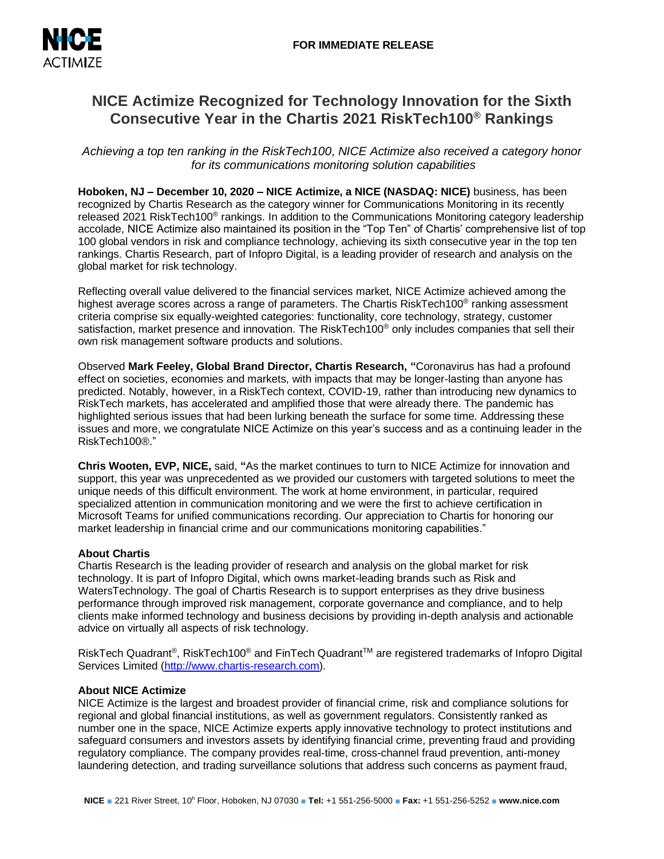

# **NICE Actimize Recognized for Technology Innovation for the Sixth Consecutive Year in the Chartis 2021 RiskTech100® Rankings**

*Achieving a top ten ranking in the RiskTech100, NICE Actimize also received a category honor for its communications monitoring solution capabilities*

**Hoboken, NJ – December 10, 2020 – NICE Actimize, a NICE (NASDAQ: NICE)** business, has been recognized by Chartis Research as the category winner for Communications Monitoring in its recently released 2021 RiskTech100<sup>®</sup> rankings. In addition to the Communications Monitoring category leadership accolade, NICE Actimize also maintained its position in the "Top Ten" of Chartis' comprehensive list of top 100 global vendors in risk and compliance technology, achieving its sixth consecutive year in the top ten rankings. Chartis Research, part of Infopro Digital, is a leading provider of research and analysis on the global market for risk technology.

Reflecting overall value delivered to the financial services market, NICE Actimize achieved among the highest average scores across a range of parameters. The Chartis RiskTech100<sup>®</sup> ranking assessment criteria comprise six equally-weighted categories: functionality, core technology, strategy, customer satisfaction, market presence and innovation. The RiskTech100® only includes companies that sell their own risk management software products and solutions.

Observed **Mark Feeley, Global Brand Director, Chartis Research, "**Coronavirus has had a profound effect on societies, economies and markets, with impacts that may be longer-lasting than anyone has predicted. Notably, however, in a RiskTech context, COVID-19, rather than introducing new dynamics to RiskTech markets, has accelerated and amplified those that were already there. The pandemic has highlighted serious issues that had been lurking beneath the surface for some time. Addressing these issues and more, we congratulate NICE Actimize on this year's success and as a continuing leader in the RiskTech100®."

**Chris Wooten, EVP, NICE,** said, **"**As the market continues to turn to NICE Actimize for innovation and support, this year was unprecedented as we provided our customers with targeted solutions to meet the unique needs of this difficult environment. The work at home environment, in particular, required specialized attention in communication monitoring and we were the first to achieve certification in Microsoft Teams for unified communications recording. Our appreciation to Chartis for honoring our market leadership in financial crime and our communications monitoring capabilities."

# **About Chartis**

Chartis Research is the leading provider of research and analysis on the global market for risk technology. It is part of Infopro Digital, which owns market-leading brands such as Risk and WatersTechnology. The goal of Chartis Research is to support enterprises as they drive business performance through improved risk management, corporate governance and compliance, and to help clients make informed technology and business decisions by providing in-depth analysis and actionable advice on virtually all aspects of risk technology.

RiskTech Quadrant®, RiskTech100® and FinTech Quadrant™ are registered trademarks of Infopro Digital Services Limited [\(http://www.chartis-research.com\)](http://www.chartis-research.com/).

## **About NICE Actimize**

NICE Actimize is the largest and broadest provider of financial crime, risk and compliance solutions for regional and global financial institutions, as well as government regulators. Consistently ranked as number one in the space, NICE Actimize experts apply innovative technology to protect institutions and safeguard consumers and investors assets by identifying financial crime, preventing fraud and providing regulatory compliance. The company provides real-time, cross-channel fraud prevention, anti-money laundering detection, and trading surveillance solutions that address such concerns as payment fraud,